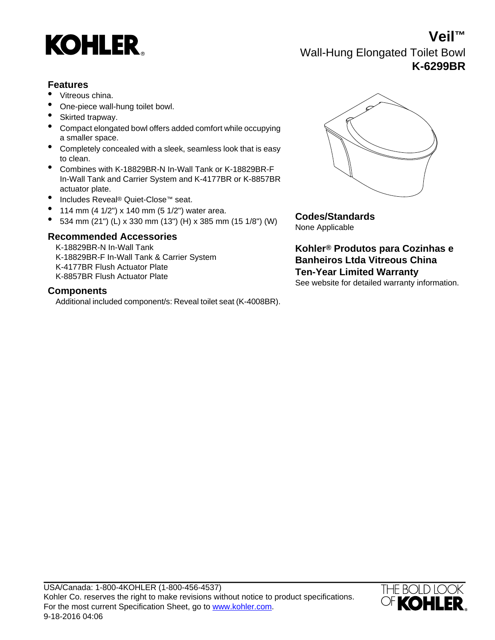

**Veil™** Wall-Hung Elongated Toilet Bowl **K-6299BR**

## **Features**

- Vitreous china.
- One-piece wall-hung toilet bowl.
- Skirted trapway.
- Compact elongated bowl offers added comfort while occupying a smaller space.
- Completely concealed with a sleek, seamless look that is easy to clean.
- Combines with K-18829BR-N In-Wall Tank or K-18829BR-F In-Wall Tank and Carrier System and K-4177BR or K-8857BR actuator plate.
- Includes Reveal® Quiet-Close™ seat.
- 
- 114 mm (4 1/2") x 140 mm (5 1/2") water area. **Codes/Standards** 534 mm (21") (L) x 330 mm (13") (H) x 385 mm (15 1/8") (W)

## **Recommended Accessories**

K-18829BR-N In-Wall Tank **Kohler® Produtos para Cozinhas e** K-18829BR-F In-Wall Tank & Carrier System K-4177BR Flush Actuator Plate K-8857BR Flush Actuator Plate

### **Components**

Additional included component/s: Reveal toilet seat (K-4008BR).



None Applicable

**Banheiros Ltda Vitreous China Ten-Year Limited Warranty** See website for detailed warranty information.